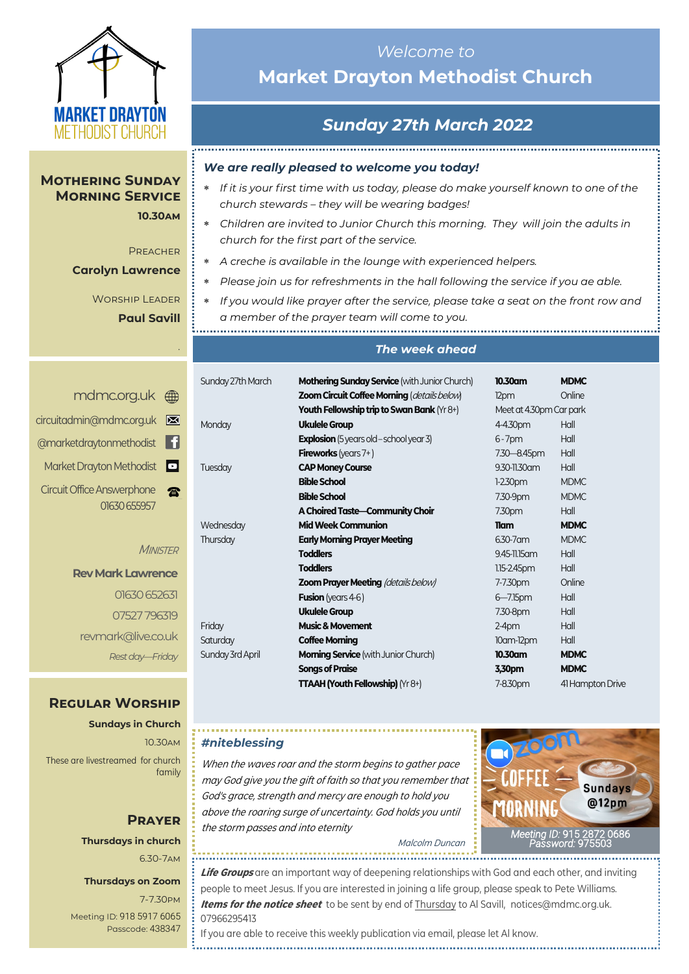

#### **Mothering Sunday Morning Service 10.30am**

**PREACHER** 

*.*

#### **Carolyn Lawrence**

Worship Leader **Paul Savill**

## <mdmc.org.uk> [circuitadmin@mdmc.org.uk](mailto:circuitadmin@mdmc.org.uk) [@marketdraytonmethodist](https://www.facebook.com/MarketDraytonMethodist) Ħ Market Drayton Methodist Circuit Office Answerphone **R** 01630 655957

**MINISTER** 

## **Rev Mark Lawrence** 01630 652631 07527 796319 revmark@live.co.uk *Rest day—Friday*

### **Regular Worship**

**Sundays in Church** 10.30am These are livestreamed for church family

# **Prayer Thursdays in church**

6.30-7am

### **Thursdays on Zoom**

7-7.30pm [Meeting ID:](https://us04web.zoom.us/j/77138650306?fbclid=IwAR1B778-w3GWZgDnAqUFq-X6hXjzASNTsZuRIt4kZ4Cpyur_3CO2EGlBBwY#success) 918 5917 6065 Passcode: 438347

# *Welcome to*  **Market Drayton Methodist Church**

# *Sunday 27th March 2022*

### *We are really pleased to welcome you today!*

- *If it is your first time with us today, please do make yourself known to one of the church stewards – they will be wearing badges!*
- *Children are invited to Junior Church this morning. They will join the adults in church for the first part of the service.*
- *A creche is available in the lounge with experienced helpers.*
- *Please join us for refreshments in the hall following the service if you ae able.*
- *If you would like prayer after the service, please take a seat on the front row and a member of the prayer team will come to you.*

#### *The week ahead*

| Sunday 27th March | <b>Mothering Sunday Service (with Junior Church)</b> | 10.30am                 | <b>MDMC</b>      |
|-------------------|------------------------------------------------------|-------------------------|------------------|
|                   | Zoom Circuit Coffee Morning (details below)          | 12pm                    | Online           |
|                   | <b>Youth Fellowship trip to Swan Bank (Yr 8+)</b>    | Meet at 4.30pm Car park |                  |
| Monday            | <b>Ukulele Group</b>                                 | 4-4.30pm                | Hall             |
|                   | <b>Explosion</b> (5 years old – school year 3)       | $6 - 7$ pm              | Hall             |
|                   | <b>Fireworks</b> (years $7+$ )                       | 7.30 - 8.45pm           | Hall             |
| Tuesday           | <b>CAP Money Course</b>                              | 9.30-11.30 am           | Hall             |
|                   | <b>Bible School</b>                                  | $1-2.30$ pm             | <b>MDMC</b>      |
|                   | <b>Bible School</b>                                  | 7.30-9pm                | <b>MDMC</b>      |
|                   | A Choired Taste-Community Choir                      | 7.30pm                  | Hall             |
| Wednesday         | <b>Mid Week Communion</b>                            | <b>Tiam</b>             | <b>MDMC</b>      |
| Thursday          | <b>Early Morning Prayer Meeting</b>                  | 6.30-7 am               | <b>MDMC</b>      |
|                   | <b>Toddlers</b>                                      | 9.45-11.15 am           | Hall             |
|                   | <b>Toddlers</b>                                      | 1.15-2.45pm             | Hall             |
|                   | <b>Zoom Prayer Meeting (details below)</b>           | 7-7.30pm                | Online           |
|                   | <b>Fusion</b> (years $4-6$ )                         | $6 - 7.15$ pm           | Hall             |
|                   | <b>Ukulele Group</b>                                 | 7.30-8pm                | Hall             |
| Friday            | <b>Music &amp; Movement</b>                          | $2-4pm$                 | Hall             |
| Saturday          | <b>Coffee Morning</b>                                | $10$ am- $12$ pm        | Hall             |
| Sunday 3rd April  | <b>Morning Service</b> (with Junior Church)          | 10.30am                 | <b>MDMC</b>      |
|                   | <b>Songs of Praise</b>                               | 3,30pm                  | <b>MDMC</b>      |
|                   | TTAAH (Youth Fellowship) (Yr 8+)                     | 7-8.30pm                | 41 Hampton Drive |
|                   |                                                      |                         |                  |

### *#niteblessing*

When the waves roar and the storm begins to gather pace may God give you the gift of faith so that you remember that God's grace, strength and mercy are enough to hold you above the roaring surge of uncertainty. God holds you until the storm passes and into eternity

*[Meeting](https://us02web.zoom.us/j/83410523806?pwd=SmZBQmI3K3lXM1IybzNDZnhMUU5PUT09) ID:* [915 2872 0686](https://us02web.zoom.us/j/83410523806?pwd=SmZBQmI3K3lXM1IybzNDZnhMUU5PUT09)  *[Password:](https://us02web.zoom.us/j/83410523806?pwd=SmZBQmI3K3lXM1IybzNDZnhMUU5PUT09)* 975503

Malcolm Duncan

**Life Groups** are an important way of deepening relationships with God and each other, and inviting people to meet Jesus. If you are interested in joining a life group, please speak to Pete Williams. **Items for the notice sheet** to be sent by end of Thursday to Al Savill, notices@mdmc.org.uk. 07966295413

If you are able to receive this weekly publication via email, please let Al know.